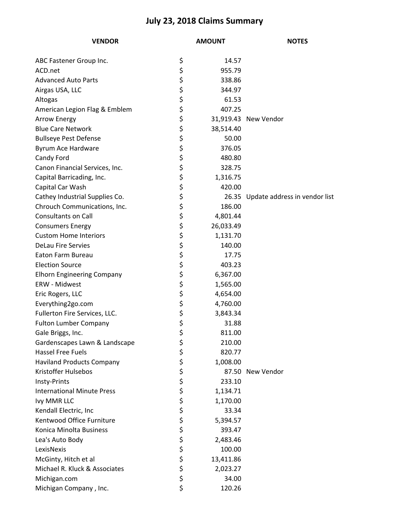## **July 23, 2018 Claims Summary**

| <b>VENDOR</b>                     | <b>AMOUNT</b> |           | <b>NOTES</b>                        |
|-----------------------------------|---------------|-----------|-------------------------------------|
| ABC Fastener Group Inc.           | \$            | 14.57     |                                     |
| ACD.net                           | \$            | 955.79    |                                     |
| <b>Advanced Auto Parts</b>        | \$            | 338.86    |                                     |
| Airgas USA, LLC                   | \$            | 344.97    |                                     |
| Altogas                           | \$            | 61.53     |                                     |
| American Legion Flag & Emblem     | \$            | 407.25    |                                     |
| <b>Arrow Energy</b>               | \$            |           | 31,919.43 New Vendor                |
| <b>Blue Care Network</b>          | \$            | 38,514.40 |                                     |
| <b>Bullseye Pest Defense</b>      | \$            | 50.00     |                                     |
| Byrum Ace Hardware                | \$            | 376.05    |                                     |
| Candy Ford                        | \$            | 480.80    |                                     |
| Canon Financial Services, Inc.    | \$            | 328.75    |                                     |
| Capital Barricading, Inc.         | \$            | 1,316.75  |                                     |
| Capital Car Wash                  | \$            | 420.00    |                                     |
| Cathey Industrial Supplies Co.    | \$            |           | 26.35 Update address in vendor list |
| Chrouch Communications, Inc.      | \$            | 186.00    |                                     |
| <b>Consultants on Call</b>        | \$            | 4,801.44  |                                     |
| <b>Consumers Energy</b>           | \$            | 26,033.49 |                                     |
| <b>Custom Home Interiors</b>      | \$            | 1,131.70  |                                     |
| <b>DeLau Fire Servies</b>         | \$            | 140.00    |                                     |
| Eaton Farm Bureau                 | \$            | 17.75     |                                     |
| <b>Election Source</b>            | \$            | 403.23    |                                     |
| <b>Elhorn Engineering Company</b> | \$            | 6,367.00  |                                     |
| ERW - Midwest                     | \$            | 1,565.00  |                                     |
| Eric Rogers, LLC                  | \$            | 4,654.00  |                                     |
| Everything2go.com                 | \$            | 4,760.00  |                                     |
| Fullerton Fire Services, LLC.     | \$            | 3,843.34  |                                     |
| <b>Fulton Lumber Company</b>      | \$            | 31.88     |                                     |
| Gale Briggs, Inc.                 | \$            | 811.00    |                                     |
| Gardenscapes Lawn & Landscape     | \$            | 210.00    |                                     |
| <b>Hassel Free Fuels</b>          | \$            | 820.77    |                                     |
| <b>Haviland Products Company</b>  | \$            | 1,008.00  |                                     |
| Kristoffer Hulsebos               | \$            |           | 87.50 New Vendor                    |
| Insty-Prints                      | \$            | 233.10    |                                     |
| <b>International Minute Press</b> | \$<br>\$      | 1,134.71  |                                     |
| Ivy MMR LLC                       |               | 1,170.00  |                                     |
| Kendall Electric, Inc             | \$<br>\$      | 33.34     |                                     |
| Kentwood Office Furniture         |               | 5,394.57  |                                     |
| Konica Minolta Business           | \$            | 393.47    |                                     |
| Lea's Auto Body                   | \$            | 2,483.46  |                                     |
| LexisNexis                        | \$            | 100.00    |                                     |
| McGinty, Hitch et al              | \$            | 13,411.86 |                                     |
| Michael R. Kluck & Associates     | \$            | 2,023.27  |                                     |
| Michigan.com                      | \$            | 34.00     |                                     |
| Michigan Company, Inc.            | \$            | 120.26    |                                     |